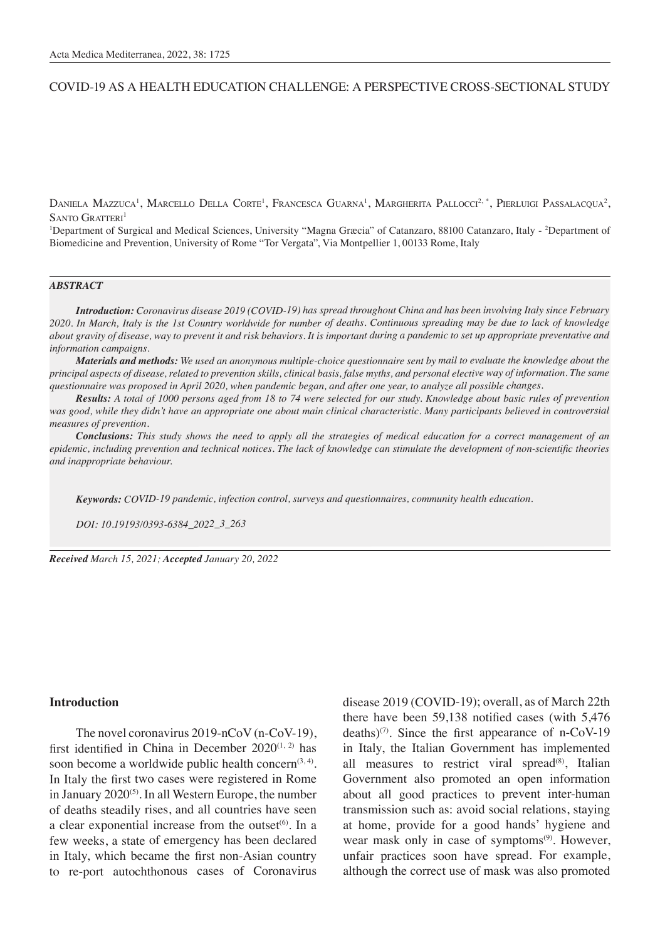# COVID-19 AS A HEALTH EDUCATION CHALLENGE: A PERSPECTIVE CROSS-SECTIONAL STUDY

Daniela Mazzuca<sup>1</sup>, Marcello Della Corte<sup>1</sup>, Francesca Guarna<sup>1</sup>, Margherita Pallocci<sup>2, \*</sup>, Pierluigi Passalacqua<sup>2</sup>,  $S$ ANTO  $G$ RATTERI<sup>1</sup>

<sup>1</sup>Department of Surgical and Medical Sciences, University "Magna Græcia" of Catanzaro, 88100 Catanzaro, Italy - <sup>2</sup>Department of Biomedicine and Prevention, University of Rome "Tor Vergata", Via Montpellier 1, 00133 Rome, Italy

#### *ABSTRACT*

*Introduction: Coronavirus disease 2019 (COVID-19) has spread throughout China and has been involving Italy since February 2020. In March, Italy is the 1st Country worldwide for number of deaths. Continuous spreading may be due to lack of knowledge about gravity of disease, way to prevent it and risk behaviors. It is important during a pandemic to set up appropriate preventative and information campaigns.* 

*Materials and methods: We used an anonymous multiple-choice questionnaire sent by mail to evaluate the knowledge about the principal aspects of disease, related to prevention skills, clinical basis, false myths, and personal elective way of information. The same questionnaire was proposed in April 2020, when pandemic began, and after one year, to analyze all possible changes.*

*Results: A total of 1000 persons aged from 18 to 74 were selected for our study. Knowledge about basic rules of prevention was good, while they didn't have an appropriate one about main clinical characteristic. Many participants believed in controversial measures of prevention.*

*Conclusions: This study shows the need to apply all the strategies of medical education for a correct management of an epidemic, including prevention and technical notices. The lack of knowledge can stimulate the development of non-scientific theories and inappropriate behaviour.* 

*Keywords: COVID-19 pandemic, infection control, surveys and questionnaires, community health education.*

*DOI: 10.19193/0393-6384\_2022\_3\_263*

*Received March 15, 2021; Accepted January 20, 2022*

#### **Introduction**

The novel coronavirus 2019-nCoV (n-CoV-19), first identified in China in December  $2020^{(1, 2)}$  has soon become a worldwide public health concern<sup> $(3, 4)$ </sup>. In Italy the first two cases were registered in Rome in January  $2020^{(5)}$ . In all Western Europe, the number of deaths steadily rises, and all countries have seen a clear exponential increase from the outset $(6)$ . In a few weeks, a state of emergency has been declared in Italy, which became the first non-Asian country to re-port autochthonous cases of Coronavirus

disease 2019 (COVID-19); overall, as of March 22th there have been 59,138 notified cases (with 5,476 deaths)<sup>(7)</sup>. Since the first appearance of n-CoV-19 in Italy, the Italian Government has implemented all measures to restrict viral spread $(8)$ , Italian Government also promoted an open information about all good practices to prevent inter-human transmission such as: avoid social relations, staying at home, provide for a good hands' hygiene and wear mask only in case of symptoms<sup>(9)</sup>. However, unfair practices soon have spread. For example, although the correct use of mask was also promoted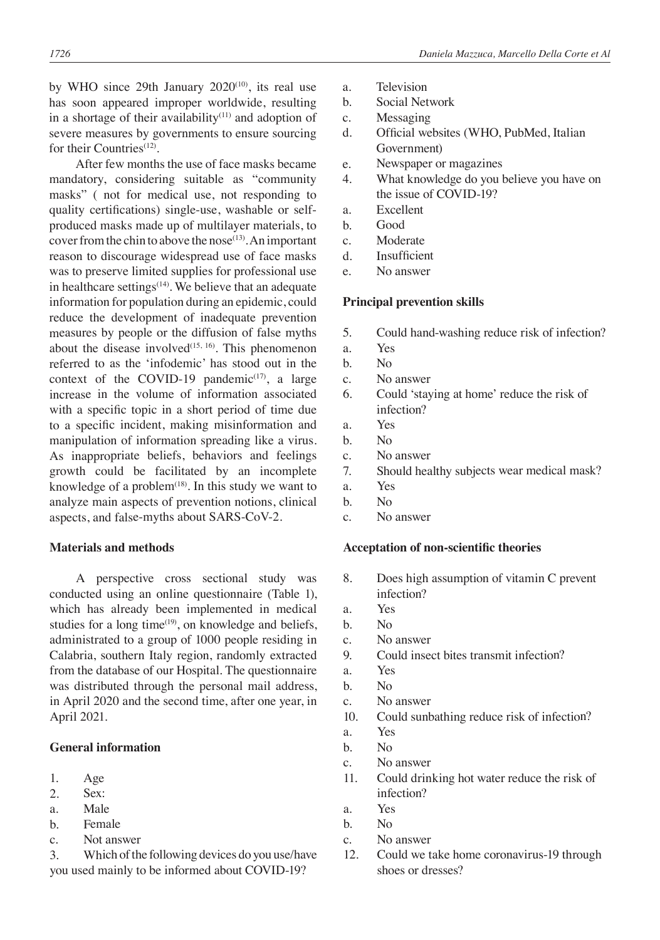by WHO since 29th January  $2020^{(10)}$ , its real use has soon appeared improper worldwide, resulting in a shortage of their availability $(11)$  and adoption of severe measures by governments to ensure sourcing for their Countries(12).

After few months the use of face masks became mandatory, considering suitable as "community masks" ( not for medical use, not responding to quality certifications) single-use, washable or selfproduced masks made up of multilayer materials, to cover from the chin to above the nose<sup> $(13)$ </sup>. An important reason to discourage widespread use of face masks was to preserve limited supplies for professional use in healthcare settings $(14)$ . We believe that an adequate information for population during an epidemic, could reduce the development of inadequate prevention measures by people or the diffusion of false myths about the disease involved $(15, 16)$ . This phenomenon referred to as the 'infodemic' has stood out in the context of the COVID-19 pandemic $(17)$ , a large increase in the volume of information associated with a specific topic in a short period of time due to a specific incident, making misinformation and manipulation of information spreading like a virus. As inappropriate beliefs, behaviors and feelings growth could be facilitated by an incomplete knowledge of a problem $(18)$ . In this study we want to analyze main aspects of prevention notions, clinical aspects, and false-myths about SARS-CoV-2.

# **Materials and methods**

A perspective cross sectional study was conducted using an online questionnaire (Table 1), which has already been implemented in medical studies for a long time<sup>(19)</sup>, on knowledge and beliefs, administrated to a group of 1000 people residing in Calabria, southern Italy region, randomly extracted from the database of our Hospital. The questionnaire was distributed through the personal mail address, in April 2020 and the second time, after one year, in April 2021.

# **General information**

- 1. Age
- 2. Sex:
- a. Male
- b. Female
- c. Not answer
- 3. Which of the following devices do you use/have you used mainly to be informed about COVID-19?
- a. Television
- b. Social Network
- c. Messaging
- d. Official websites (WHO, PubMed, Italian Government)
- e. Newspaper or magazines
- 4. What knowledge do you believe you have on the issue of COVID-19?
- a. Excellent
- b. Good
- c. Moderate
- d. Insufficient
- e. No answer

# **Principal prevention skills**

- 5. Could hand-washing reduce risk of infection?
- a. Yes
- b. No
- c. No answer
- 6. Could 'staying at home' reduce the risk of infection?
- a. Yes
- b. No
- c. No answer
- 7. Should healthy subjects wear medical mask?
- a. Yes
- b. No
- c. No answer

### **Acceptation of non-scientific theories**

- 8. Does high assumption of vitamin C prevent infection?
- a. Yes
- b. No
- c. No answer
- 9. Could insect bites transmit infection?
- a. Yes
- b. No
- c. No answer
- 10. Could sunbathing reduce risk of infection?
- a. Yes
- b. No
- c. No answer
- 11. Could drinking hot water reduce the risk of infection?
- a. Yes
- b. No
- c. No answer
- 12. Could we take home coronavirus-19 through shoes or dresses?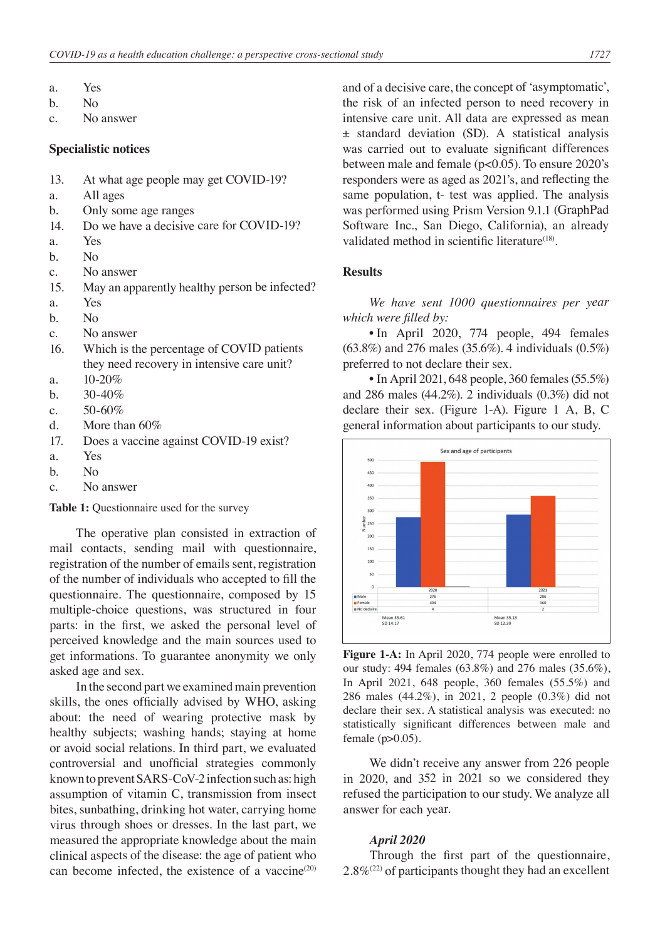- a. Yes
- b. No
- c. No answer

#### **Specialistic notices**

- 13. At what age people may get COVID-19?
- a. All ages
- b. Only some age ranges
- 14. Do we have a decisive care for COVID-19?
- a. Yes
- b. No
- c. No answer
- 15. May an apparently healthy person be infected?
- a. Yes
- b. No
- c. No answer
- 16. Which is the percentage of COVID patients they need recovery in intensive care unit?
- a. 10-20%
- b.  $30-40\%$
- c.  $50-60\%$
- d. More than 60%
- 17. Does a vaccine against COVID-19 exist?
- a. Yes
- b. No
- c. No answer

**Table 1:** Questionnaire used for the survey

The operative plan consisted in extraction of mail contacts, sending mail with questionnaire, registration of the number of emails sent, registration of the number of individuals who accepted to fill the questionnaire. The questionnaire, composed by 15 multiple-choice questions, was structured in four parts: in the first, we asked the personal level of perceived knowledge and the main sources used to get informations. To guarantee anonymity we only asked age and sex.

In the second part we examined main prevention skills, the ones officially advised by WHO, asking about: the need of wearing protective mask by healthy subjects; washing hands; staying at home or avoid social relations. In third part, we evaluated controversial and unofficial strategies commonly known to prevent SARS-CoV-2 infection such as: high assumption of vitamin C, transmission from insect bites, sunbathing, drinking hot water, carrying home virus through shoes or dresses. In the last part, we measured the appropriate knowledge about the main clinical aspects of the disease: the age of patient who can become infected, the existence of a vaccine $(20)$  and of a decisive care, the concept of 'asymptomatic', the risk of an infected person to need recovery in intensive care unit. All data are expressed as mean ± standard deviation (SD). A statistical analysis was carried out to evaluate significant differences between male and female (p<0.05). To ensure 2020's responders were as aged as 2021's, and reflecting the same population, t- test was applied. The analysis was performed using Prism Version 9.1.1 (GraphPad Software Inc., San Diego, California), an already validated method in scientific literature<sup>(18)</sup>.

# **Results**

*We have sent 1000 questionnaires per year which were filled by:*

• In April 2020, 774 people, 494 females (63.8%) and 276 males (35.6%). 4 individuals (0.5%) preferred to not declare their sex.

• In April 2021, 648 people, 360 females (55.5%) and 286 males (44.2%). 2 individuals (0.3%) did not declare their sex. (Figure 1-A). Figure 1 A, B, C general information about participants to our study.



**Figure 1-A:** In April 2020, 774 people were enrolled to our study: 494 females (63.8%) and 276 males (35.6%), In April 2021, 648 people, 360 females (55.5%) and 286 males (44.2%), in 2021, 2 people (0.3%) did not declare their sex. A statistical analysis was executed: no statistically significant differences between male and female  $(p>0.05)$ .

We didn't receive any answer from 226 people in 2020, and 352 in 2021 so we considered they refused the participation to our study. We analyze all answer for each year.

# *April 2020*

Through the first part of the questionnaire,  $2.8\%$ <sup>(22)</sup> of participants thought they had an excellent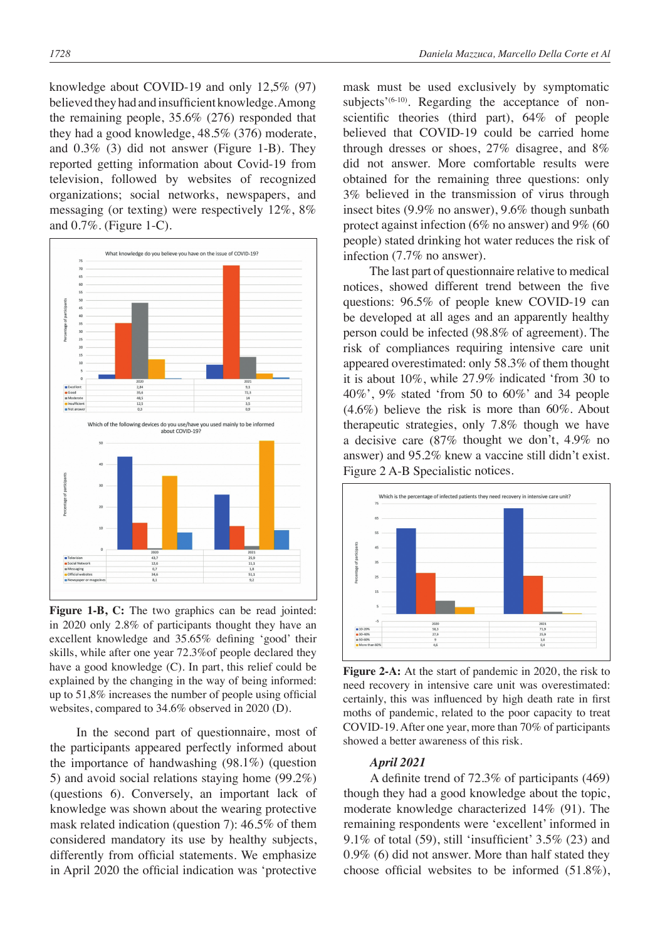knowledge about COVID-19 and only 12,5% (97) believed they had and insufficient knowledge. Among the remaining people, 35.6% (276) responded that they had a good knowledge, 48.5% (376) moderate, and 0.3% (3) did not answer (Figure 1-B). They reported getting information about Covid-19 from television, followed by websites of recognized organizations; social networks, newspapers, and messaging (or texting) were respectively 12%, 8% and 0.7%. (Figure 1-C).



**Figure 1-B, C:** The two graphics can be read jointed: in 2020 only 2.8% of participants thought they have an excellent knowledge and 35.65% defining 'good' their skills, while after one year 72.3%of people declared they have a good knowledge (C). In part, this relief could be explained by the changing in the way of being informed: up to 51,8% increases the number of people using official websites, compared to 34.6% observed in 2020 (D).

In the second part of questionnaire, most of the participants appeared perfectly informed about the importance of handwashing (98.1%) (question 5) and avoid social relations staying home (99.2%) (questions 6). Conversely, an important lack of knowledge was shown about the wearing protective mask related indication (question 7): 46.5% of them considered mandatory its use by healthy subjects, differently from official statements. We emphasize in April 2020 the official indication was 'protective mask must be used exclusively by symptomatic subjects<sup> $(6-10)$ </sup>. Regarding the acceptance of nonscientific theories (third part), 64% of people believed that COVID-19 could be carried home through dresses or shoes, 27% disagree, and 8% did not answer. More comfortable results were obtained for the remaining three questions: only 3% believed in the transmission of virus through insect bites (9.9% no answer), 9.6% though sunbath protect against infection (6% no answer) and 9% (60 people) stated drinking hot water reduces the risk of infection (7.7% no answer).

The last part of questionnaire relative to medical notices, showed different trend between the five questions: 96.5% of people knew COVID-19 can be developed at all ages and an apparently healthy person could be infected (98.8% of agreement). The risk of compliances requiring intensive care unit appeared overestimated: only 58.3% of them thought it is about 10%, while 27.9% indicated 'from 30 to 40%', 9% stated 'from 50 to 60%' and 34 people (4.6%) believe the risk is more than 60%. About therapeutic strategies, only 7.8% though we have a decisive care (87% thought we don't, 4.9% no answer) and 95.2% knew a vaccine still didn't exist. Figure 2 A-B Specialistic notices.



**Figure 2-A:** At the start of pandemic in 2020, the risk to need recovery in intensive care unit was overestimated: certainly, this was influenced by high death rate in first moths of pandemic, related to the poor capacity to treat COVID-19. After one year, more than 70% of participants showed a better awareness of this risk.

# *April 2021*

A definite trend of 72.3% of participants (469) though they had a good knowledge about the topic, moderate knowledge characterized 14% (91). The remaining respondents were 'excellent' informed in 9.1% of total (59), still 'insufficient' 3.5% (23) and 0.9% (6) did not answer. More than half stated they choose official websites to be informed (51.8%),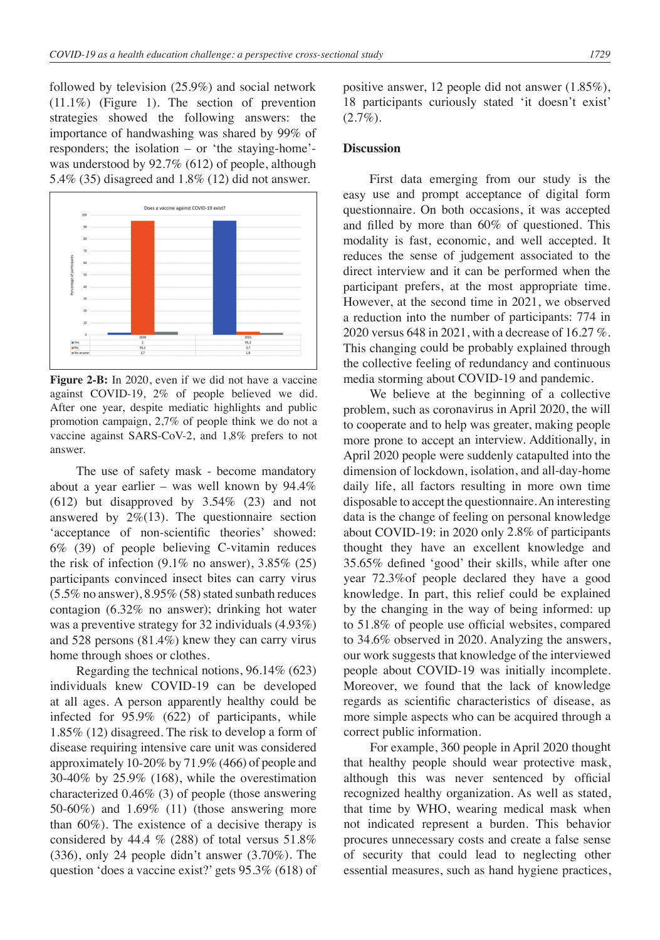followed by television (25.9%) and social network (11.1%) (Figure 1). The section of prevention strategies showed the following answers: the importance of handwashing was shared by 99% of responders; the isolation – or 'the staying-home' was understood by 92.7% (612) of people, although 5.4% (35) disagreed and 1.8% (12) did not answer.



**Figure 2-B:** In 2020, even if we did not have a vaccine against COVID-19, 2% of people believed we did. After one year, despite mediatic highlights and public promotion campaign, 2,7% of people think we do not a vaccine against SARS-CoV-2, and 1,8% prefers to not answer.

The use of safety mask - become mandatory about a year earlier – was well known by 94.4% (612) but disapproved by 3.54% (23) and not answered by  $2\%$ (13). The questionnaire section 'acceptance of non-scientific theories' showed: 6% (39) of people believing C-vitamin reduces the risk of infection  $(9.1\%$  no answer),  $3.85\%$   $(25)$ participants convinced insect bites can carry virus (5.5% no answer), 8.95% (58) stated sunbath reduces contagion (6.32% no answer); drinking hot water was a preventive strategy for 32 individuals (4.93%) and 528 persons (81.4%) knew they can carry virus home through shoes or clothes.

Regarding the technical notions, 96.14% (623) individuals knew COVID-19 can be developed at all ages. A person apparently healthy could be infected for 95.9% (622) of participants, while 1.85% (12) disagreed. The risk to develop a form of disease requiring intensive care unit was considered approximately 10-20% by 71.9% (466) of people and 30-40% by 25.9% (168), while the overestimation characterized 0.46% (3) of people (those answering 50-60%) and 1.69% (11) (those answering more than 60%). The existence of a decisive therapy is considered by 44.4  $%$  (288) of total versus 51.8% (336), only 24 people didn't answer (3.70%). The question 'does a vaccine exist?' gets 95.3% (618) of positive answer, 12 people did not answer (1.85%), 18 participants curiously stated 'it doesn't exist'  $(2.7\%).$ 

# **Discussion**

First data emerging from our study is the easy use and prompt acceptance of digital form questionnaire. On both occasions, it was accepted and filled by more than 60% of questioned. This modality is fast, economic, and well accepted. It reduces the sense of judgement associated to the direct interview and it can be performed when the participant prefers, at the most appropriate time. However, at the second time in 2021, we observed a reduction into the number of participants: 774 in 2020 versus 648 in 2021, with a decrease of 16.27 %. This changing could be probably explained through the collective feeling of redundancy and continuous media storming about COVID-19 and pandemic.

We believe at the beginning of a collective problem, such as coronavirus in April 2020, the will to cooperate and to help was greater, making people more prone to accept an interview. Additionally, in April 2020 people were suddenly catapulted into the dimension of lockdown, isolation, and all-day-home daily life, all factors resulting in more own time disposable to accept the questionnaire. An interesting data is the change of feeling on personal knowledge about COVID-19: in 2020 only 2.8% of participants thought they have an excellent knowledge and 35.65% defined 'good' their skills, while after one year 72.3%of people declared they have a good knowledge. In part, this relief could be explained by the changing in the way of being informed: up to 51.8% of people use official websites, compared to 34.6% observed in 2020. Analyzing the answers, our work suggests that knowledge of the interviewed people about COVID-19 was initially incomplete. Moreover, we found that the lack of knowledge regards as scientific characteristics of disease, as more simple aspects who can be acquired through a correct public information.

For example, 360 people in April 2020 thought that healthy people should wear protective mask, although this was never sentenced by official recognized healthy organization. As well as stated, that time by WHO, wearing medical mask when not indicated represent a burden. This behavior procures unnecessary costs and create a false sense of security that could lead to neglecting other essential measures, such as hand hygiene practices,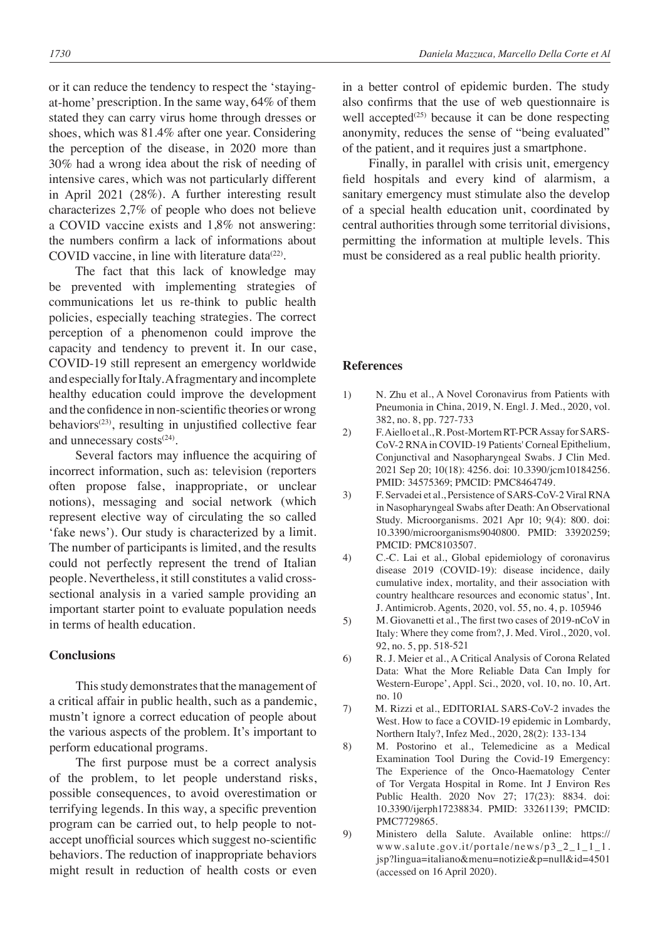or it can reduce the tendency to respect the 'stayingat-home' prescription. In the same way, 64% of them stated they can carry virus home through dresses or shoes, which was 81.4% after one year. Considering the perception of the disease, in 2020 more than 30% had a wrong idea about the risk of needing of intensive cares, which was not particularly different in April 2021 (28%). A further interesting result characterizes 2,7% of people who does not believe a COVID vaccine exists and 1,8% not answering: the numbers confirm a lack of informations about COVID vaccine, in line with literature data $(22)$ .

The fact that this lack of knowledge may be prevented with implementing strategies of communications let us re-think to public health policies, especially teaching strategies. The correct perception of a phenomenon could improve the capacity and tendency to prevent it. In our case, COVID-19 still represent an emergency worldwide and especially for Italy. A fragmentary and incomplete healthy education could improve the development and the confidence in non-scientific theories or wrong behaviors<sup>(23)</sup>, resulting in unjustified collective fear and unnecessary costs<sup>(24)</sup>.

Several factors may influence the acquiring of incorrect information, such as: television (reporters often propose false, inappropriate, or unclear notions), messaging and social network (which represent elective way of circulating the so called 'fake news'). Our study is characterized by a limit. The number of participants is limited, and the results could not perfectly represent the trend of Italian people. Nevertheless, it still constitutes a valid crosssectional analysis in a varied sample providing an important starter point to evaluate population needs in terms of health education.

### **Conclusions**

This study demonstrates that the management of a critical affair in public health, such as a pandemic, mustn't ignore a correct education of people about the various aspects of the problem. It's important to perform educational programs.

The first purpose must be a correct analysis of the problem, to let people understand risks, possible consequences, to avoid overestimation or terrifying legends. In this way, a specific prevention program can be carried out, to help people to notaccept unofficial sources which suggest no-scientific behaviors. The reduction of inappropriate behaviors might result in reduction of health costs or even in a better control of epidemic burden. The study also confirms that the use of web questionnaire is well accepted<sup>(25)</sup> because it can be done respecting anonymity, reduces the sense of "being evaluated" of the patient, and it requires just a smartphone.

Finally, in parallel with crisis unit, emergency field hospitals and every kind of alarmism, a sanitary emergency must stimulate also the develop of a special health education unit, coordinated by central authorities through some territorial divisions, permitting the information at multiple levels. This must be considered as a real public health priority.

# **References**

- 1) N. Zhu et al., A Novel Coronavirus from Patients with Pneumonia in China, 2019, N. Engl. J. Med., 2020, vol. 382, no. 8, pp. 727-733
- 2) F. Aiello et al., R. Post-Mortem RT-PCR Assay for SARS-CoV-2 RNA in COVID-19 Patients' Corneal Epithelium, Conjunctival and Nasopharyngeal Swabs. J Clin Med. 2021 Sep 20; 10(18): 4256. doi: 10.3390/jcm10184256. PMID: 34575369; PMCID: PMC8464749.
- 3) F. Servadei et al., Persistence of SARS-CoV-2 Viral RNA in Nasopharyngeal Swabs after Death: An Observational Study. Microorganisms. 2021 Apr 10; 9(4): 800. doi: 10.3390/microorganisms9040800. PMID: 33920259; PMCID: PMC8103507.
- 4) C.-C. Lai et al., Global epidemiology of coronavirus disease 2019 (COVID-19): disease incidence, daily cumulative index, mortality, and their association with country healthcare resources and economic status', Int. J. Antimicrob. Agents, 2020, vol. 55, no. 4, p. 105946
- 5) M. Giovanetti et al., The first two cases of 2019-nCoV in Italy: Where they come from?, J. Med. Virol., 2020, vol. 92, no. 5, pp. 518-521
- 6) R. J. Meier et al., A Critical Analysis of Corona Related Data: What the More Reliable Data Can Imply for Western-Europe', Appl. Sci., 2020, vol. 10, no. 10, Art. no. 10
- 7) M. Rizzi et al., EDITORIAL SARS-CoV-2 invades the West. How to face a COVID-19 epidemic in Lombardy, Northern Italy?, Infez Med., 2020, 28(2): 133-134
- 8) M. Postorino et al., Telemedicine as a Medical Examination Tool During the Covid-19 Emergency: The Experience of the Onco-Haematology Center of Tor Vergata Hospital in Rome. Int J Environ Res Public Health. 2020 Nov 27; 17(23): 8834. doi: 10.3390/ijerph17238834. PMID: 33261139; PMCID: PMC7729865.
- 9) Ministero della Salute. Available online: https:// www.salute.gov.it/portale/news/p3\_2\_1\_1\_1. jsp?lingua=italiano&menu=notizie&p=null&id=4501 (accessed on 16 April 2020).